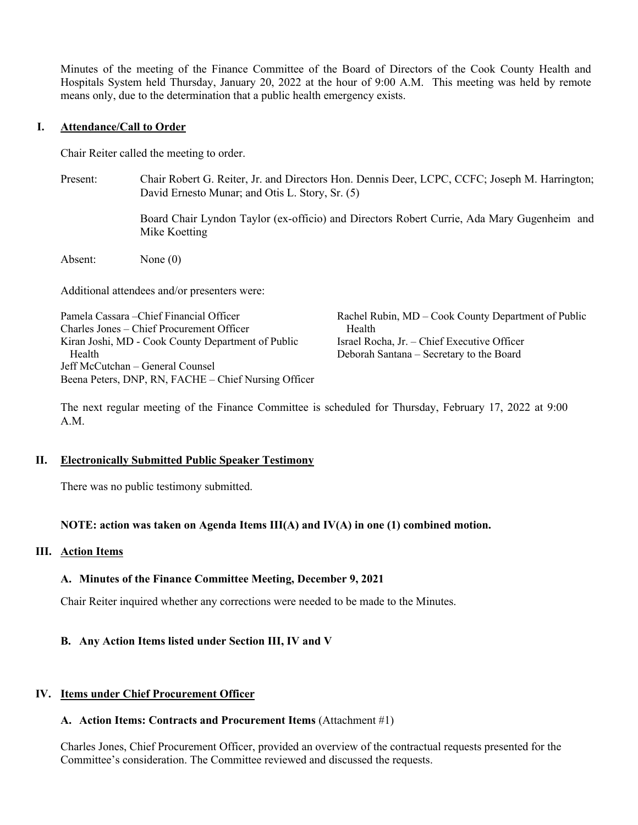Minutes of the meeting of the Finance Committee of the Board of Directors of the Cook County Health and Hospitals System held Thursday, January 20, 2022 at the hour of 9:00 A.M. This meeting was held by remote means only, due to the determination that a public health emergency exists.

### **I. Attendance/Call to Order**

Chair Reiter called the meeting to order.

Present: Chair Robert G. Reiter, Jr. and Directors Hon. Dennis Deer, LCPC, CCFC; Joseph M. Harrington; David Ernesto Munar; and Otis L. Story, Sr. (5)

> Board Chair Lyndon Taylor (ex-officio) and Directors Robert Currie, Ada Mary Gugenheim and Mike Koetting

Absent: None (0)

Additional attendees and/or presenters were:

Pamela Cassara –Chief Financial Officer Charles Jones – Chief Procurement Officer Kiran Joshi, MD - Cook County Department of Public Health Jeff McCutchan – General Counsel Beena Peters, DNP, RN, FACHE – Chief Nursing Officer

Rachel Rubin, MD – Cook County Department of Public Health Israel Rocha, Jr. – Chief Executive Officer Deborah Santana – Secretary to the Board

The next regular meeting of the Finance Committee is scheduled for Thursday, February 17, 2022 at 9:00 A.M.

### **II. Electronically Submitted Public Speaker Testimony**

There was no public testimony submitted.

## **NOTE: action was taken on Agenda Items III(A) and IV(A) in one (1) combined motion.**

### **III. Action Items**

## **A. Minutes of the Finance Committee Meeting, December 9, 2021**

Chair Reiter inquired whether any corrections were needed to be made to the Minutes.

## **B. Any Action Items listed under Section III, IV and V**

### **IV. Items under Chief Procurement Officer**

### **A. Action Items: Contracts and Procurement Items** (Attachment #1)

Charles Jones, Chief Procurement Officer, provided an overview of the contractual requests presented for the Committee's consideration. The Committee reviewed and discussed the requests.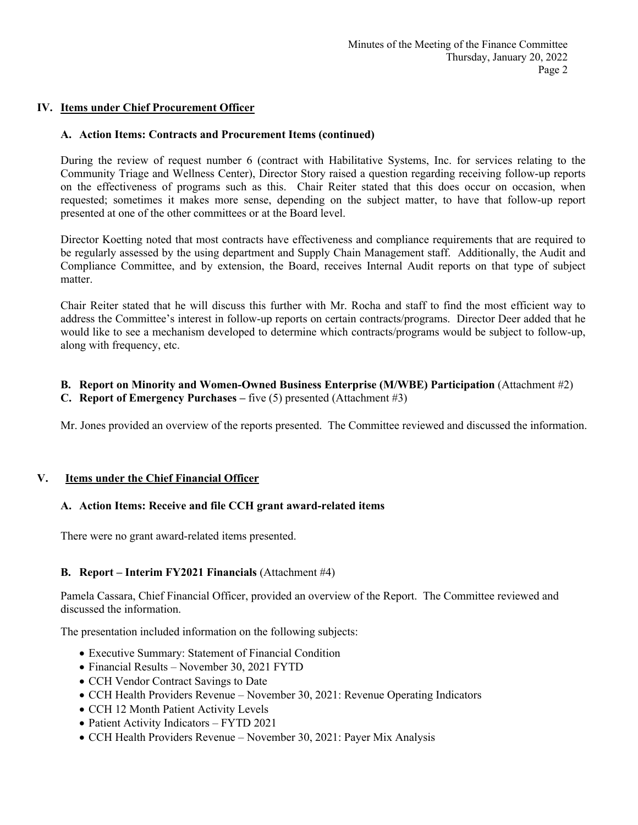## **IV. Items under Chief Procurement Officer**

### **A. Action Items: Contracts and Procurement Items (continued)**

During the review of request number 6 (contract with Habilitative Systems, Inc. for services relating to the Community Triage and Wellness Center), Director Story raised a question regarding receiving follow-up reports on the effectiveness of programs such as this. Chair Reiter stated that this does occur on occasion, when requested; sometimes it makes more sense, depending on the subject matter, to have that follow-up report presented at one of the other committees or at the Board level.

Director Koetting noted that most contracts have effectiveness and compliance requirements that are required to be regularly assessed by the using department and Supply Chain Management staff. Additionally, the Audit and Compliance Committee, and by extension, the Board, receives Internal Audit reports on that type of subject matter.

Chair Reiter stated that he will discuss this further with Mr. Rocha and staff to find the most efficient way to address the Committee's interest in follow-up reports on certain contracts/programs. Director Deer added that he would like to see a mechanism developed to determine which contracts/programs would be subject to follow-up, along with frequency, etc.

### **B. Report on Minority and Women-Owned Business Enterprise (M/WBE) Participation** (Attachment #2)

**C. Report of Emergency Purchases –** five (5) presented (Attachment #3)

Mr. Jones provided an overview of the reports presented. The Committee reviewed and discussed the information.

## **V. Items under the Chief Financial Officer**

### **A. Action Items: Receive and file CCH grant award-related items**

There were no grant award-related items presented.

## **B. Report – Interim FY2021 Financials** (Attachment #4)

Pamela Cassara, Chief Financial Officer, provided an overview of the Report. The Committee reviewed and discussed the information.

The presentation included information on the following subjects:

- Executive Summary: Statement of Financial Condition
- Financial Results November 30, 2021 FYTD
- CCH Vendor Contract Savings to Date
- CCH Health Providers Revenue November 30, 2021: Revenue Operating Indicators
- CCH 12 Month Patient Activity Levels
- Patient Activity Indicators FYTD 2021
- CCH Health Providers Revenue November 30, 2021: Payer Mix Analysis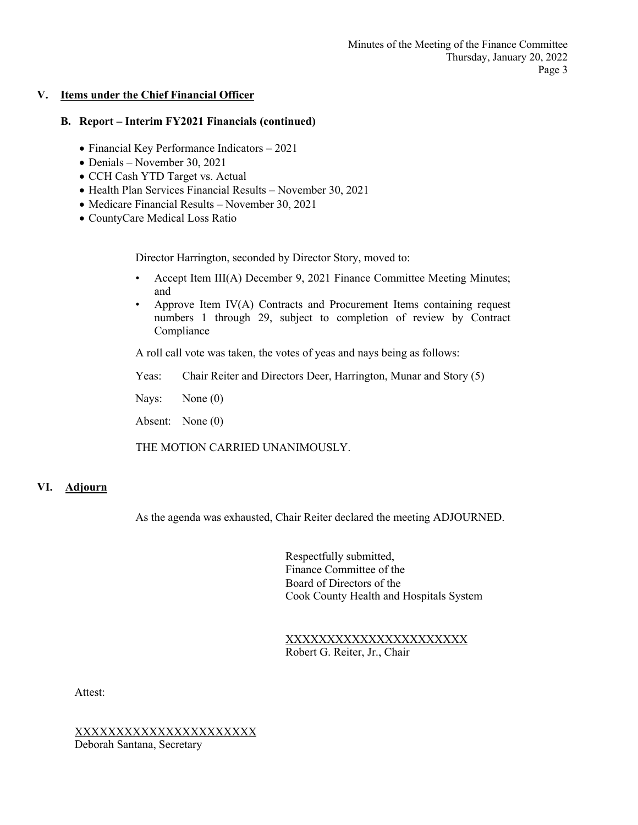## **V. Items under the Chief Financial Officer**

### **B. Report – Interim FY2021 Financials (continued)**

- Financial Key Performance Indicators 2021
- Denials November 30, 2021
- CCH Cash YTD Target vs. Actual
- Health Plan Services Financial Results November 30, 2021
- Medicare Financial Results November 30, 2021
- CountyCare Medical Loss Ratio

Director Harrington, seconded by Director Story, moved to:

- Accept Item III(A) December 9, 2021 Finance Committee Meeting Minutes; and
- Approve Item IV(A) Contracts and Procurement Items containing request numbers 1 through 29, subject to completion of review by Contract Compliance

A roll call vote was taken, the votes of yeas and nays being as follows:

Yeas: Chair Reiter and Directors Deer, Harrington, Munar and Story (5)

Nays: None (0)

Absent: None (0)

THE MOTION CARRIED UNANIMOUSLY.

# **VI. Adjourn**

As the agenda was exhausted, Chair Reiter declared the meeting ADJOURNED.

Respectfully submitted, Finance Committee of the Board of Directors of the Cook County Health and Hospitals System

XXXXXXXXXXXXXXXXXXXXXX Robert G. Reiter, Jr., Chair

Attest:

XXXXXXXXXXXXXXXXXXXXXX Deborah Santana, Secretary